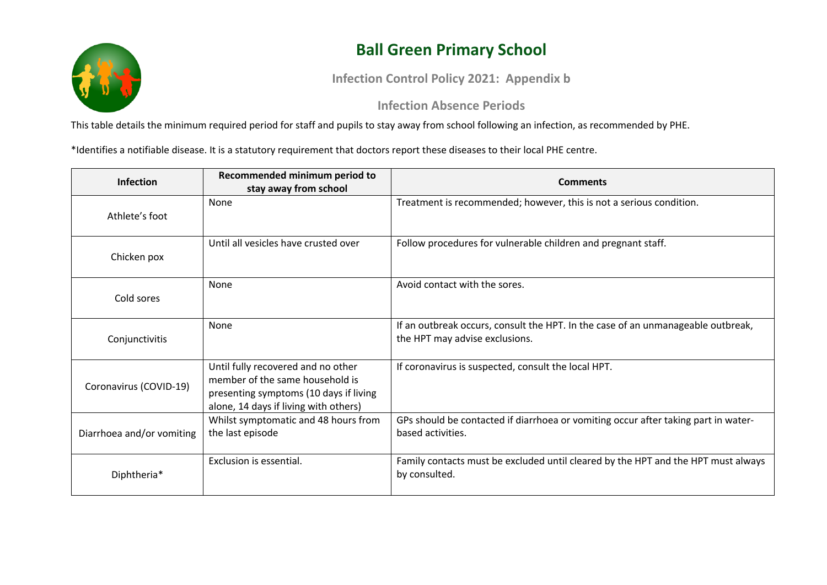

## **Ball Green Primary School**

**Infection Control Policy 2021: Appendix b**

## **Infection Absence Periods**

This table details the minimum required period for staff and pupils to stay away from school following an infection, as recommended by PHE.

\*Identifies a notifiable disease. It is a statutory requirement that doctors report these diseases to their local PHE centre.

| <b>Infection</b>          | Recommended minimum period to<br>stay away from school                                                                                                   | <b>Comments</b>                                                                                                    |
|---------------------------|----------------------------------------------------------------------------------------------------------------------------------------------------------|--------------------------------------------------------------------------------------------------------------------|
| Athlete's foot            | None                                                                                                                                                     | Treatment is recommended; however, this is not a serious condition.                                                |
| Chicken pox               | Until all vesicles have crusted over                                                                                                                     | Follow procedures for vulnerable children and pregnant staff.                                                      |
| Cold sores                | None                                                                                                                                                     | Avoid contact with the sores.                                                                                      |
| Conjunctivitis            | None                                                                                                                                                     | If an outbreak occurs, consult the HPT. In the case of an unmanageable outbreak,<br>the HPT may advise exclusions. |
| Coronavirus (COVID-19)    | Until fully recovered and no other<br>member of the same household is<br>presenting symptoms (10 days if living<br>alone, 14 days if living with others) | If coronavirus is suspected, consult the local HPT.                                                                |
| Diarrhoea and/or vomiting | Whilst symptomatic and 48 hours from<br>the last episode                                                                                                 | GPs should be contacted if diarrhoea or vomiting occur after taking part in water-<br>based activities.            |
| Diphtheria*               | Exclusion is essential.                                                                                                                                  | Family contacts must be excluded until cleared by the HPT and the HPT must always<br>by consulted.                 |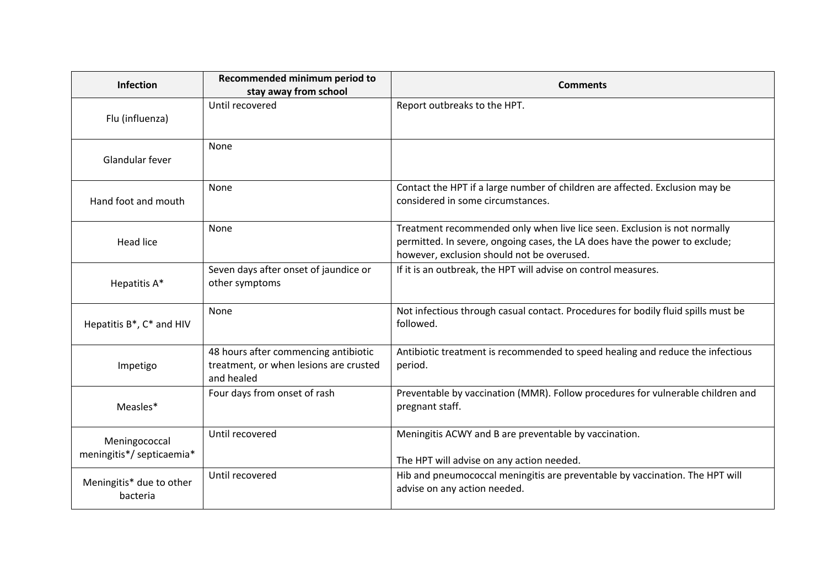| <b>Infection</b>                           | Recommended minimum period to<br>stay away from school                                       | <b>Comments</b>                                                                                                                                                                                        |
|--------------------------------------------|----------------------------------------------------------------------------------------------|--------------------------------------------------------------------------------------------------------------------------------------------------------------------------------------------------------|
| Flu (influenza)                            | Until recovered                                                                              | Report outbreaks to the HPT.                                                                                                                                                                           |
| Glandular fever                            | None                                                                                         |                                                                                                                                                                                                        |
| Hand foot and mouth                        | None                                                                                         | Contact the HPT if a large number of children are affected. Exclusion may be<br>considered in some circumstances.                                                                                      |
| <b>Head lice</b>                           | None                                                                                         | Treatment recommended only when live lice seen. Exclusion is not normally<br>permitted. In severe, ongoing cases, the LA does have the power to exclude;<br>however, exclusion should not be overused. |
| Hepatitis A*                               | Seven days after onset of jaundice or<br>other symptoms                                      | If it is an outbreak, the HPT will advise on control measures.                                                                                                                                         |
| Hepatitis B*, C* and HIV                   | None                                                                                         | Not infectious through casual contact. Procedures for bodily fluid spills must be<br>followed.                                                                                                         |
| Impetigo                                   | 48 hours after commencing antibiotic<br>treatment, or when lesions are crusted<br>and healed | Antibiotic treatment is recommended to speed healing and reduce the infectious<br>period.                                                                                                              |
| Measles*                                   | Four days from onset of rash                                                                 | Preventable by vaccination (MMR). Follow procedures for vulnerable children and<br>pregnant staff.                                                                                                     |
| Meningococcal<br>meningitis*/ septicaemia* | Until recovered                                                                              | Meningitis ACWY and B are preventable by vaccination.<br>The HPT will advise on any action needed.                                                                                                     |
| Meningitis* due to other<br>bacteria       | Until recovered                                                                              | Hib and pneumococcal meningitis are preventable by vaccination. The HPT will<br>advise on any action needed.                                                                                           |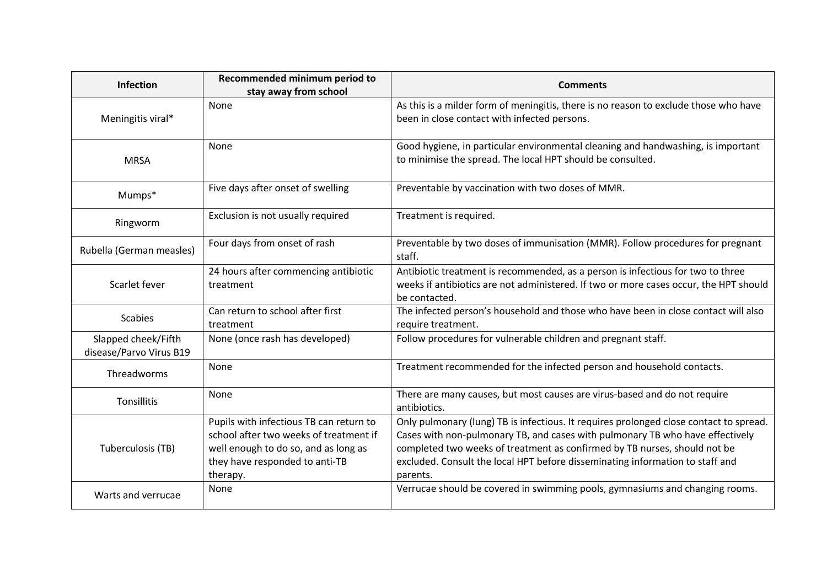| Infection                                      | Recommended minimum period to<br>stay away from school                                                                                                                  | <b>Comments</b>                                                                                                                                                                                                                                                                                                                                   |
|------------------------------------------------|-------------------------------------------------------------------------------------------------------------------------------------------------------------------------|---------------------------------------------------------------------------------------------------------------------------------------------------------------------------------------------------------------------------------------------------------------------------------------------------------------------------------------------------|
| Meningitis viral*                              | None                                                                                                                                                                    | As this is a milder form of meningitis, there is no reason to exclude those who have<br>been in close contact with infected persons.                                                                                                                                                                                                              |
| <b>MRSA</b>                                    | None                                                                                                                                                                    | Good hygiene, in particular environmental cleaning and handwashing, is important<br>to minimise the spread. The local HPT should be consulted.                                                                                                                                                                                                    |
| Mumps*                                         | Five days after onset of swelling                                                                                                                                       | Preventable by vaccination with two doses of MMR.                                                                                                                                                                                                                                                                                                 |
| Ringworm                                       | Exclusion is not usually required                                                                                                                                       | Treatment is required.                                                                                                                                                                                                                                                                                                                            |
| Rubella (German measles)                       | Four days from onset of rash                                                                                                                                            | Preventable by two doses of immunisation (MMR). Follow procedures for pregnant<br>staff.                                                                                                                                                                                                                                                          |
| Scarlet fever                                  | 24 hours after commencing antibiotic<br>treatment                                                                                                                       | Antibiotic treatment is recommended, as a person is infectious for two to three<br>weeks if antibiotics are not administered. If two or more cases occur, the HPT should<br>be contacted.                                                                                                                                                         |
| <b>Scabies</b>                                 | Can return to school after first<br>treatment                                                                                                                           | The infected person's household and those who have been in close contact will also<br>require treatment.                                                                                                                                                                                                                                          |
| Slapped cheek/Fifth<br>disease/Parvo Virus B19 | None (once rash has developed)                                                                                                                                          | Follow procedures for vulnerable children and pregnant staff.                                                                                                                                                                                                                                                                                     |
| Threadworms                                    | None                                                                                                                                                                    | Treatment recommended for the infected person and household contacts.                                                                                                                                                                                                                                                                             |
| Tonsillitis                                    | None                                                                                                                                                                    | There are many causes, but most causes are virus-based and do not require<br>antibiotics.                                                                                                                                                                                                                                                         |
| Tuberculosis (TB)                              | Pupils with infectious TB can return to<br>school after two weeks of treatment if<br>well enough to do so, and as long as<br>they have responded to anti-TB<br>therapy. | Only pulmonary (lung) TB is infectious. It requires prolonged close contact to spread.<br>Cases with non-pulmonary TB, and cases with pulmonary TB who have effectively<br>completed two weeks of treatment as confirmed by TB nurses, should not be<br>excluded. Consult the local HPT before disseminating information to staff and<br>parents. |
| Warts and verrucae                             | None                                                                                                                                                                    | Verrucae should be covered in swimming pools, gymnasiums and changing rooms.                                                                                                                                                                                                                                                                      |